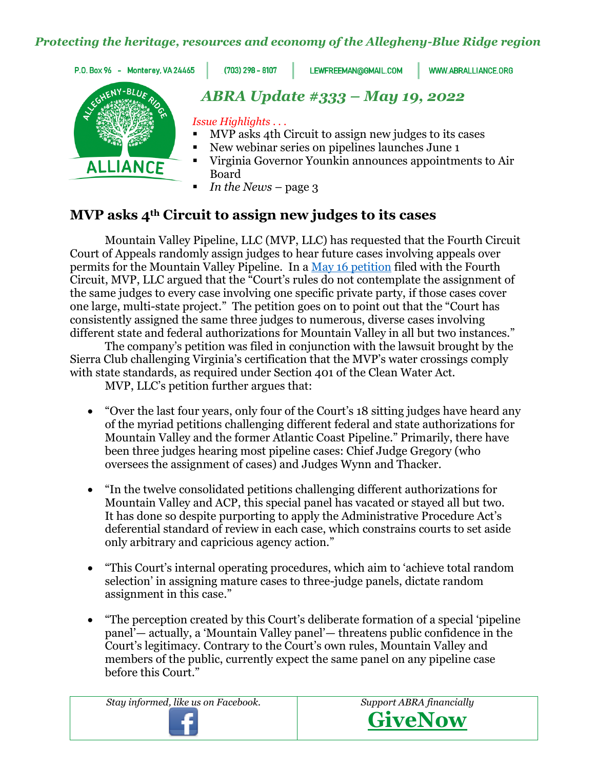#### *Protecting the heritage, resources and economy of the Allegheny-Blue Ridge region*

P.O. Box 96 - Monterey, VA 24465

 $(703)$  298 - 8107

LEWFREEMAN@GMAIL.COM

WWW.ABRALLIANCE.ORG



# *ABRA Update #333 – May 19, 2022*

*Issue Highlights . . .* 

- MVP asks 4th Circuit to assign new judges to its cases
- New webinar series on pipelines launches June 1
- Virginia Governor Younkin announces appointments to Air Board
- *In the News* page 3

# **MVP asks 4th Circuit to assign new judges to its cases**

Mountain Valley Pipeline, LLC (MVP, LLC) has requested that the Fourth Circuit Court of Appeals randomly assign judges to hear future cases involving appeals over permits for the Mountain Valley Pipeline. In a [May 16 petition](https://www.abralliance.org/wp-content/uploads/2022/05/MVP-motiion-to-4th-Circuit-for-random-panel-assignment-5-16-22.pdf) filed with the Fourth Circuit, MVP, LLC argued that the "Court's rules do not contemplate the assignment of the same judges to every case involving one specific private party, if those cases cover one large, multi-state project." The petition goes on to point out that the "Court has consistently assigned the same three judges to numerous, diverse cases involving different state and federal authorizations for Mountain Valley in all but two instances."

The company's petition was filed in conjunction with the lawsuit brought by the Sierra Club challenging Virginia's certification that the MVP's water crossings comply with state standards, as required under Section 401 of the Clean Water Act.

MVP, LLC's petition further argues that:

- "Over the last four years, only four of the Court's 18 sitting judges have heard any of the myriad petitions challenging different federal and state authorizations for Mountain Valley and the former Atlantic Coast Pipeline." Primarily, there have been three judges hearing most pipeline cases: Chief Judge Gregory (who oversees the assignment of cases) and Judges Wynn and Thacker.
- "In the twelve consolidated petitions challenging different authorizations for Mountain Valley and ACP, this special panel has vacated or stayed all but two. It has done so despite purporting to apply the Administrative Procedure Act's deferential standard of review in each case, which constrains courts to set aside only arbitrary and capricious agency action."
- "This Court's internal operating procedures, which aim to 'achieve total random selection' in assigning mature cases to three-judge panels, dictate random assignment in this case."
- "The perception created by this Court's deliberate formation of a special 'pipeline panel'— actually, a 'Mountain Valley panel'— threatens public confidence in the Court's legitimacy. Contrary to the Court's own rules, Mountain Valley and members of the public, currently expect the same panel on any pipeline case before this Court."

*Stay informed, like us on Facebook. Support ABRA financially*



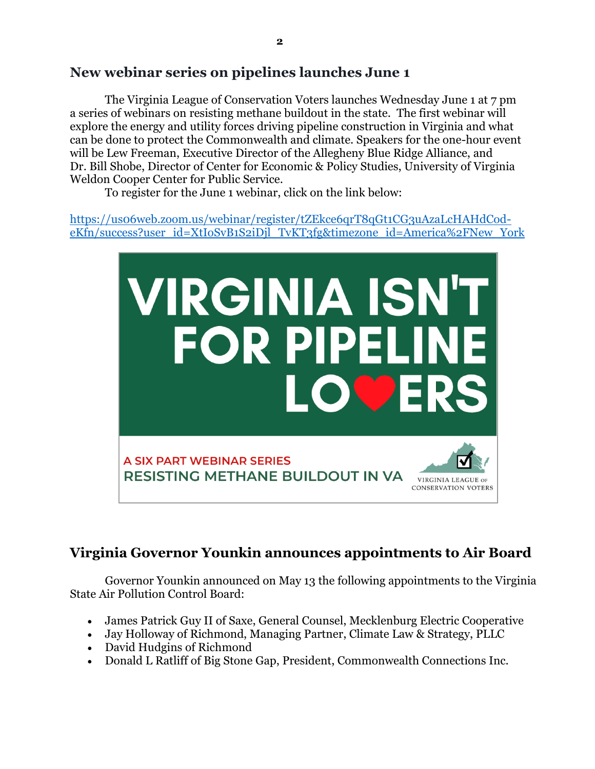## **New webinar series on pipelines launches June 1**

The Virginia League of Conservation Voters launches Wednesday June 1 at 7 pm a series of webinars on resisting methane buildout in the state. The first webinar will explore the energy and utility forces driving pipeline construction in Virginia and what can be done to protect the Commonwealth and climate. Speakers for the one-hour event will be Lew Freeman, Executive Director of the Allegheny Blue Ridge Alliance, and Dr. Bill Shobe, Director of Center for Economic & Policy Studies, University of Virginia Weldon Cooper Center for Public Service.

To register for the June 1 webinar, click on the link below:

[https://us06web.zoom.us/webinar/register/tZEkce6qrT8qGt1CG3uAzaLcHAHdCod](https://us06web.zoom.us/webinar/register/tZEkce6qrT8qGt1CG3uAzaLcHAHdCod-eKfn/success?user_id=XtIoSvB1S2iDjl_TvKT3fg&timezone_id=America%2FNew_York)[eKfn/success?user\\_id=XtIoSvB1S2iDjl\\_TvKT3fg&timezone\\_id=America%2FNew\\_York](https://us06web.zoom.us/webinar/register/tZEkce6qrT8qGt1CG3uAzaLcHAHdCod-eKfn/success?user_id=XtIoSvB1S2iDjl_TvKT3fg&timezone_id=America%2FNew_York)



# **Virginia Governor Younkin announces appointments to Air Board**

Governor Younkin announced on May 13 the following appointments to the Virginia State Air Pollution Control Board:

- James Patrick Guy II of Saxe, General Counsel, Mecklenburg Electric Cooperative
- Jay Holloway of Richmond, Managing Partner, Climate Law & Strategy, PLLC
- David Hudgins of Richmond
- Donald L Ratliff of Big Stone Gap, President, Commonwealth Connections Inc.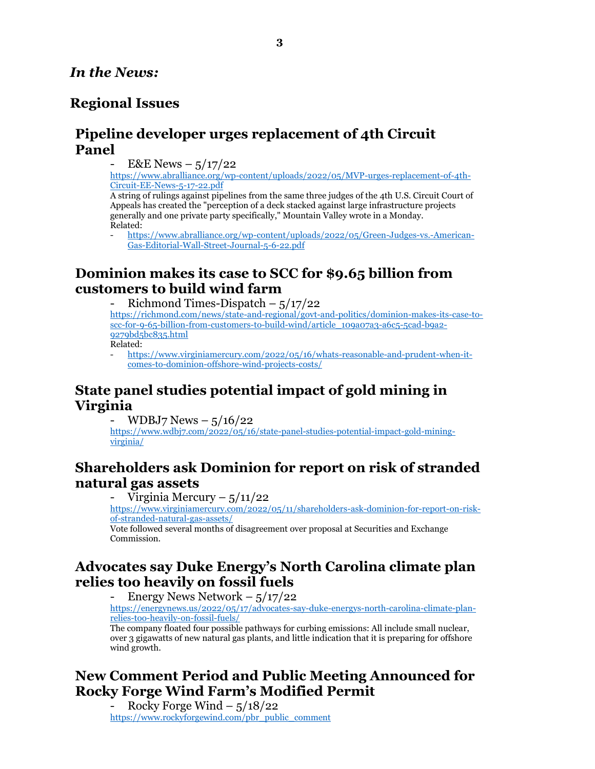#### *In the News:*

## **Regional Issues**

#### **Pipeline developer urges replacement of 4th Circuit Panel**

 $E&E$  News –  $5/17/22$ 

[https://www.abralliance.org/wp-content/uploads/2022/05/MVP-urges-replacement-of-4th-](https://www.abralliance.org/wp-content/uploads/2022/05/MVP-urges-replacement-of-4th-Circuit-EE-News-5-17-22.pdf)[Circuit-EE-News-5-17-22.pdf](https://www.abralliance.org/wp-content/uploads/2022/05/MVP-urges-replacement-of-4th-Circuit-EE-News-5-17-22.pdf)

A string of rulings against pipelines from the same three judges of the 4th U.S. Circuit Court of Appeals has created the "perception of a deck stacked against large infrastructure projects generally and one private party specifically," Mountain Valley wrote in a Monday. Related:

- [https://www.abralliance.org/wp-content/uploads/2022/05/Green-Judges-vs.-American-](https://www.abralliance.org/wp-content/uploads/2022/05/Green-Judges-vs.-American-Gas-Editorial-Wall-Street-Journal-5-6-22.pdf)[Gas-Editorial-Wall-Street-Journal-5-6-22.pdf](https://www.abralliance.org/wp-content/uploads/2022/05/Green-Judges-vs.-American-Gas-Editorial-Wall-Street-Journal-5-6-22.pdf)

## **Dominion makes its case to SCC for \$9.65 billion from customers to build wind farm**

Richmond Times-Dispatch –  $5/17/22$ 

[https://richmond.com/news/state-and-regional/govt-and-politics/dominion-makes-its-case-to](https://richmond.com/news/state-and-regional/govt-and-politics/dominion-makes-its-case-to-scc-for-9-65-billion-from-customers-to-build-wind/article_109a07a3-a6c5-5cad-b9a2-9279bd5bc835.html)[scc-for-9-65-billion-from-customers-to-build-wind/article\\_109a07a3-a6c5-5cad-b9a2-](https://richmond.com/news/state-and-regional/govt-and-politics/dominion-makes-its-case-to-scc-for-9-65-billion-from-customers-to-build-wind/article_109a07a3-a6c5-5cad-b9a2-9279bd5bc835.html) [9279bd5bc835.html](https://richmond.com/news/state-and-regional/govt-and-politics/dominion-makes-its-case-to-scc-for-9-65-billion-from-customers-to-build-wind/article_109a07a3-a6c5-5cad-b9a2-9279bd5bc835.html) Related:

- [https://www.virginiamercury.com/2022/05/16/whats-reasonable-and-prudent-when-it](https://www.virginiamercury.com/2022/05/16/whats-reasonable-and-prudent-when-it-comes-to-dominion-offshore-wind-projects-costs/)[comes-to-dominion-offshore-wind-projects-costs/](https://www.virginiamercury.com/2022/05/16/whats-reasonable-and-prudent-when-it-comes-to-dominion-offshore-wind-projects-costs/)

## **State panel studies potential impact of gold mining in Virginia**

WDBJ7 News  $-$  5/16/22

[https://www.wdbj7.com/2022/05/16/state-panel-studies-potential-impact-gold-mining](https://www.wdbj7.com/2022/05/16/state-panel-studies-potential-impact-gold-mining-virginia/)[virginia/](https://www.wdbj7.com/2022/05/16/state-panel-studies-potential-impact-gold-mining-virginia/)

## **Shareholders ask Dominion for report on risk of stranded natural gas assets**

Virginia Mercury –  $5/11/22$ 

[https://www.virginiamercury.com/2022/05/11/shareholders-ask-dominion-for-report-on-risk](https://www.virginiamercury.com/2022/05/11/shareholders-ask-dominion-for-report-on-risk-of-stranded-natural-gas-assets/)[of-stranded-natural-gas-assets/](https://www.virginiamercury.com/2022/05/11/shareholders-ask-dominion-for-report-on-risk-of-stranded-natural-gas-assets/)

Vote followed several months of disagreement over proposal at Securities and Exchange Commission.

#### **Advocates say Duke Energy's North Carolina climate plan relies too heavily on fossil fuels**

Energy News Network  $-$  5/17/22

[https://energynews.us/2022/05/17/advocates-say-duke-energys-north-carolina-climate-plan](https://energynews.us/2022/05/17/advocates-say-duke-energys-north-carolina-climate-plan-relies-too-heavily-on-fossil-fuels/)[relies-too-heavily-on-fossil-fuels/](https://energynews.us/2022/05/17/advocates-say-duke-energys-north-carolina-climate-plan-relies-too-heavily-on-fossil-fuels/)

The company floated four possible pathways for curbing emissions: All include small nuclear, over 3 gigawatts of new natural gas plants, and little indication that it is preparing for offshore wind growth.

## **New Comment Period and Public Meeting Announced for Rocky Forge Wind Farm's Modified Permit**

Rocky Forge Wind –  $5/18/22$ [https://www.rockyforgewind.com/pbr\\_public\\_comment](https://www.rockyforgewind.com/pbr_public_comment)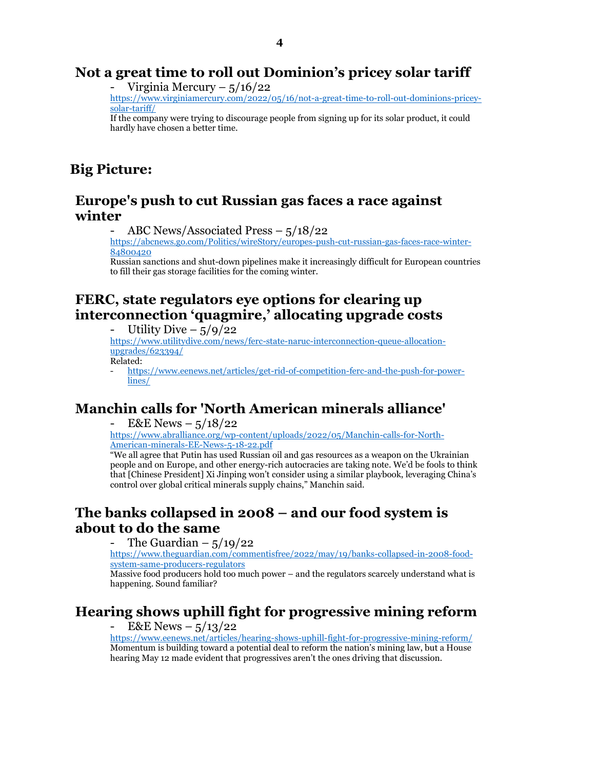#### **Not a great time to roll out Dominion's pricey solar tariff**

Virginia Mercury –  $5/16/22$ 

[https://www.virginiamercury.com/2022/05/16/not-a-great-time-to-roll-out-dominions-pricey](https://www.virginiamercury.com/2022/05/16/not-a-great-time-to-roll-out-dominions-pricey-solar-tariff/)[solar-tariff/](https://www.virginiamercury.com/2022/05/16/not-a-great-time-to-roll-out-dominions-pricey-solar-tariff/)

If the company were trying to discourage people from signing up for its solar product, it could hardly have chosen a better time.

## **Big Picture:**

#### **Europe's push to cut Russian gas faces a race against winter**

ABC News/Associated Press  $-5/18/22$ 

[https://abcnews.go.com/Politics/wireStory/europes-push-cut-russian-gas-faces-race-winter-](https://abcnews.go.com/Politics/wireStory/europes-push-cut-russian-gas-faces-race-winter-84800420)[84800420](https://abcnews.go.com/Politics/wireStory/europes-push-cut-russian-gas-faces-race-winter-84800420)

Russian sanctions and shut-down pipelines make it increasingly difficult for European countries to fill their gas storage facilities for the coming winter.

## **FERC, state regulators eye options for clearing up interconnection 'quagmire,' allocating upgrade costs**

Utility Dive  $-$  5/9/22

[https://www.utilitydive.com/news/ferc-state-naruc-interconnection-queue-allocation](https://www.utilitydive.com/news/ferc-state-naruc-interconnection-queue-allocation-upgrades/623394/)[upgrades/623394/](https://www.utilitydive.com/news/ferc-state-naruc-interconnection-queue-allocation-upgrades/623394/)

Related:

[https://www.eenews.net/articles/get-rid-of-competition-ferc-and-the-push-for-power](https://www.eenews.net/articles/get-rid-of-competition-ferc-and-the-push-for-power-lines/)[lines/](https://www.eenews.net/articles/get-rid-of-competition-ferc-and-the-push-for-power-lines/)

## **Manchin calls for 'North American minerals alliance'**

 $E&E$  News –  $5/18/22$ 

[https://www.abralliance.org/wp-content/uploads/2022/05/Manchin-calls-for-North-](https://www.abralliance.org/wp-content/uploads/2022/05/Manchin-calls-for-North-American-minerals-EE-News-5-18-22.pdf)[American-minerals-EE-News-5-18-22.pdf](https://www.abralliance.org/wp-content/uploads/2022/05/Manchin-calls-for-North-American-minerals-EE-News-5-18-22.pdf)

"We all agree that Putin has used Russian oil and gas resources as a weapon on the Ukrainian people and on Europe, and other energy-rich autocracies are taking note. We'd be fools to think that [Chinese President] Xi Jinping won't consider using a similar playbook, leveraging China's control over global critical minerals supply chains," Manchin said.

# **The banks collapsed in 2008 – and our food system is about to do the same**

The Guardian  $-$  5/19/22

[https://www.theguardian.com/commentisfree/2022/may/19/banks-collapsed-in-2008-food](https://www.theguardian.com/commentisfree/2022/may/19/banks-collapsed-in-2008-food-system-same-producers-regulators)[system-same-producers-regulators](https://www.theguardian.com/commentisfree/2022/may/19/banks-collapsed-in-2008-food-system-same-producers-regulators)

Massive food producers hold too much power – and the regulators scarcely understand what is happening. Sound familiar?

# **Hearing shows uphill fight for progressive mining reform**

 $E&E$  News –  $5/13/22$ 

<https://www.eenews.net/articles/hearing-shows-uphill-fight-for-progressive-mining-reform/> Momentum is building toward a potential deal to reform the nation's mining law, but a House hearing May 12 made evident that progressives aren't the ones driving that discussion.